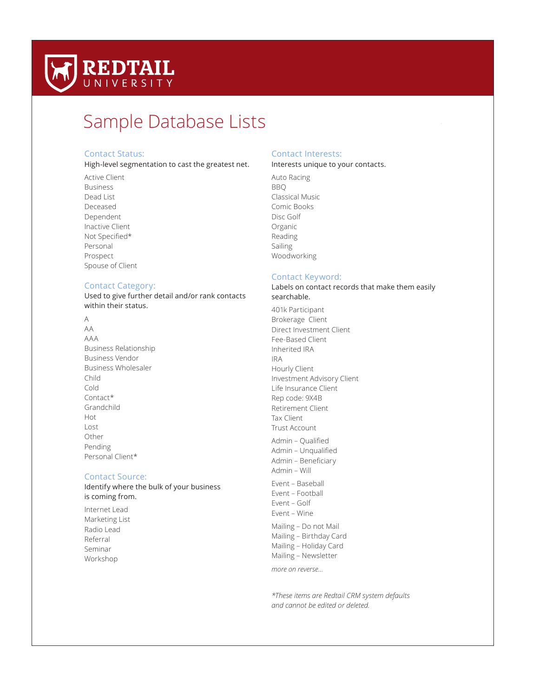

# Sample Database Lists

# Contact Status:

High-level segmentation to cast the greatest net.

Active Client Business Dead List Deceased Dependent Inactive Client Not Specified\* Personal Prospect Spouse of Client

#### Contact Category:

Used to give further detail and/or rank contacts within their status.

- A
- AA AAA Business Relationship Business Vendor Business Wholesaler Child Cold Contact\* Grandchild Hot Lost Other Pending Personal Client\*

# Contact Source:

Identify where the bulk of your business is coming from.

Internet Lead Marketing List Radio Lead Referral Seminar Workshop

# Contact Interests:

Interests unique to your contacts.

Auto Racing BBQ Classical Music Comic Books Disc Golf Organic Reading Sailing Woodworking

## Contact Keyword:

## Labels on contact records that make them easily searchable.

401k Participant Brokerage Client Direct Investment Client Fee-Based Client Inherited IRA IRA Hourly Client Investment Advisory Client Life Insurance Client Rep code: 9X4B Retirement Client Tax Client Trust Account Admin – Qualifed Admin – Unqualifed Admin - Beneficiary Admin – Will Event – Baseball Event – Football Event – Golf Event – Wine Mailing – Do not Mail Mailing – Birthday Card Mailing – Holiday Card Mailing – Newsletter *more on reverse…*

*\*These items are Redtail CRM system defaults and cannot be edited or deleted.*